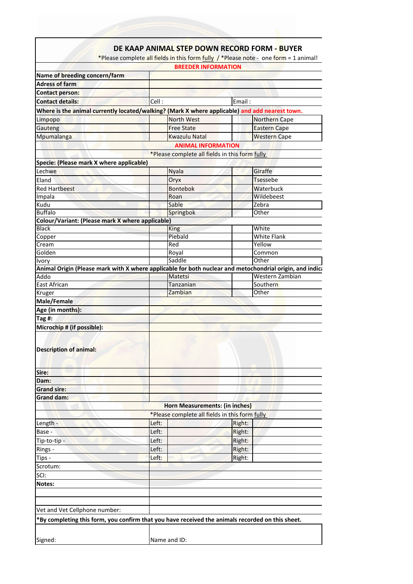|                                                                                                                                                                                      | <b>BREEDER INFORMATION</b>                     |                                                                                                          |
|--------------------------------------------------------------------------------------------------------------------------------------------------------------------------------------|------------------------------------------------|----------------------------------------------------------------------------------------------------------|
| Name of breeding concern/farm                                                                                                                                                        |                                                |                                                                                                          |
| <b>Adress of farm</b>                                                                                                                                                                |                                                |                                                                                                          |
| <b>Contact person:</b>                                                                                                                                                               |                                                |                                                                                                          |
| <b>Contact details:</b>                                                                                                                                                              | Cell:                                          | Email:                                                                                                   |
| Where is the animal currently located/walking? (Mark X where applicable) and add nearest town.                                                                                       |                                                |                                                                                                          |
| Limpopo                                                                                                                                                                              | North West                                     | Northern Cape                                                                                            |
| Gauteng                                                                                                                                                                              | <b>Free State</b>                              | <b>Eastern Cape</b>                                                                                      |
| Mpumalanga                                                                                                                                                                           | <b>Kwazulu Natal</b>                           | <b>Western Cape</b>                                                                                      |
|                                                                                                                                                                                      | <b>ANIMAL INFORMATION</b>                      |                                                                                                          |
|                                                                                                                                                                                      | *Please complete all fields in this form fully |                                                                                                          |
| Specie: (Please mark X where applicable)                                                                                                                                             |                                                |                                                                                                          |
| Lechwe                                                                                                                                                                               | <b>Nyala</b>                                   | Giraffe                                                                                                  |
| Eland                                                                                                                                                                                | Oryx                                           | <b>Tsessebe</b>                                                                                          |
| <b>Red Hartbeest</b>                                                                                                                                                                 | <b>Bontebok</b>                                | Waterbuck                                                                                                |
| Impala                                                                                                                                                                               | Roan                                           | Wildebeest                                                                                               |
| Kudu                                                                                                                                                                                 | Sable                                          | Zebra                                                                                                    |
| <b>Buffalo</b>                                                                                                                                                                       | Springbok                                      | Other                                                                                                    |
| Colour/Variant: (Please mark X where applicable)                                                                                                                                     |                                                |                                                                                                          |
| <b>Black</b>                                                                                                                                                                         | <b>King</b>                                    | White                                                                                                    |
| Copper                                                                                                                                                                               | Piebald                                        | <b>White Flank</b>                                                                                       |
| Cream                                                                                                                                                                                | Red                                            | Yellow                                                                                                   |
| Golden                                                                                                                                                                               | Royal                                          | Common                                                                                                   |
| <b>Ivory</b>                                                                                                                                                                         | Saddle                                         | Other                                                                                                    |
|                                                                                                                                                                                      |                                                | Animal Origin (Please mark with X where applicable for both nuclear and metochondrial origin, and indica |
| Addo                                                                                                                                                                                 | Matetsi                                        | Western Zambian                                                                                          |
| <b>East African</b>                                                                                                                                                                  | Tanzanian                                      | Southern                                                                                                 |
| Kruger                                                                                                                                                                               | Zambian                                        | Other                                                                                                    |
| Male/Female                                                                                                                                                                          |                                                |                                                                                                          |
| Age (in months):                                                                                                                                                                     |                                                |                                                                                                          |
| Tag #:                                                                                                                                                                               |                                                |                                                                                                          |
| Microchip # (if possible):                                                                                                                                                           |                                                |                                                                                                          |
|                                                                                                                                                                                      |                                                |                                                                                                          |
| <b>Description of animal:</b>                                                                                                                                                        |                                                |                                                                                                          |
|                                                                                                                                                                                      |                                                |                                                                                                          |
|                                                                                                                                                                                      |                                                |                                                                                                          |
| Sire:                                                                                                                                                                                |                                                |                                                                                                          |
| Dam:                                                                                                                                                                                 |                                                |                                                                                                          |
| <b>Grand sire:</b>                                                                                                                                                                   |                                                |                                                                                                          |
| <b>Grand dam:</b>                                                                                                                                                                    |                                                |                                                                                                          |
|                                                                                                                                                                                      | Horn Measurements: (in inches)                 |                                                                                                          |
|                                                                                                                                                                                      | *Please complete all fields in this form fully |                                                                                                          |
| Length -                                                                                                                                                                             | Left:                                          | Right:                                                                                                   |
| Base -                                                                                                                                                                               | Left:                                          | Right:                                                                                                   |
| Tip-to-tip -                                                                                                                                                                         | Left:                                          | Right:                                                                                                   |
|                                                                                                                                                                                      |                                                | Right:                                                                                                   |
|                                                                                                                                                                                      | Left:                                          |                                                                                                          |
|                                                                                                                                                                                      | Left:                                          | Right:                                                                                                   |
|                                                                                                                                                                                      |                                                |                                                                                                          |
|                                                                                                                                                                                      |                                                |                                                                                                          |
|                                                                                                                                                                                      |                                                |                                                                                                          |
|                                                                                                                                                                                      |                                                |                                                                                                          |
|                                                                                                                                                                                      |                                                |                                                                                                          |
|                                                                                                                                                                                      |                                                |                                                                                                          |
|                                                                                                                                                                                      |                                                |                                                                                                          |
|                                                                                                                                                                                      |                                                |                                                                                                          |
| Rings -<br>Tips -<br>Scrotum:<br>SCI:<br>Notes:<br>Vet and Vet Cellphone number:<br>*By completing this form, you confirm that you have received the animals recorded on this sheet. |                                                |                                                                                                          |